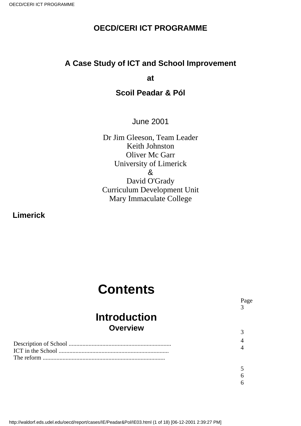### **OECD/CERI ICT PROGRAMME**

### **A Case Study of ICT and School Improvement**

**at**

### **Scoil Peadar & Pól**

June 2001

Dr Jim Gleeson, Team Leader Keith Johnston Oliver Mc Garr University of Limerick & David O'Grady Curriculum Development Unit Mary Immaculate College

> Page 3

3 4 4

5 6 6

**Limerick**

# **Contents**

## **Introduction Overview**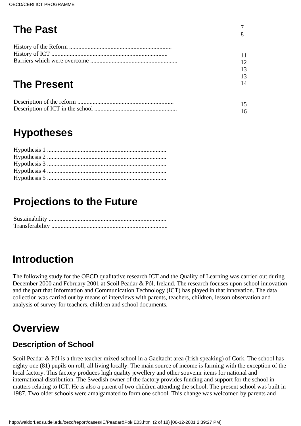## **The Past**

7 8

## **The Present**

## **Hypotheses**

## **Projections to the Future**

## **Introduction**

The following study for the OECD qualitative research ICT and the Quality of Learning was carried out during December 2000 and February 2001 at Scoil Peadar & Pól, Ireland. The research focuses upon school innovation and the part that Information and Communication Technology (ICT) has played in that innovation. The data collection was carried out by means of interviews with parents, teachers, children, lesson observation and analysis of survey for teachers, children and school documents.

## **Overview**

## **Description of School**

Scoil Peadar & Pól is a three teacher mixed school in a Gaeltacht area (Irish speaking) of Cork. The school has eighty one (81) pupils on roll, all living locally. The main source of income is farming with the exception of the local factory. This factory produces high quality jewellery and other souvenir items for national and international distribution. The Swedish owner of the factory provides funding and support for the school in matters relating to ICT. He is also a parent of two children attending the school. The present school was built in 1987. Two older schools were amalgamated to form one school. This change was welcomed by parents and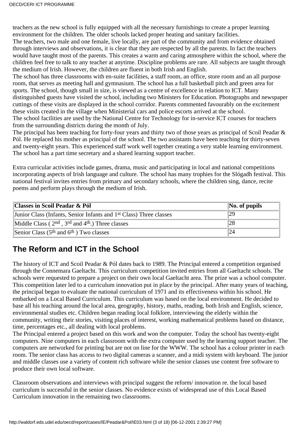teachers as the new school is fully equipped with all the necessary furnishings to create a proper learning environment for the children. The older schools lacked proper heating and sanitary facilities. The teachers, two male and one female, live locally, are part of the community and from evidence obtained through interviews and observations, it is clear that they are respected by all the parents. In fact the teachers would have taught most of the parents. This creates a warm and caring atmosphere within the school, where the children feel free to talk to any teacher at anytime. Discipline problems are rare. All subjects are taught through the medium of Irish. However, the children are fluent in both Irish and English.

The school has three classrooms with en-suite facilities, a staff room, an office, store room and an all purpose room, that serves as meeting hall and gymnasium. The school has a full basketball pitch and green area for sports. The school, though small in size, is viewed as a centre of excellence in relation to ICT. Many distinguished guests have visited the school, including two Ministers for Education. Photographs and newspaper cuttings of these visits are displayed in the school corridor. Parents commented favourably on the excitement these visits created in the village when Ministerial cars and police escorts arrived at the school. The school facilities are used by the National Centre for Technology for in-service ICT courses for teachers from the surrounding districts during the month of July.

The principal has been teaching for forty-four years and thirty two of those years as principal of Scoil Peadar & Pól. He replaced his mother as principal of the school. The two assistants have been teaching for thirty-seven and twenty-eight years. This experienced staff work well together creating a very stable learning environment. The school has a part time secretary and a shared learning support teacher.

Extra curricular activities include games, drama, music and participating in local and national competitions incorporating aspects of Irish language and culture. The school has many trophies for the Slógadh festival. This national festival invites entries from primary and secondary schools, where the children sing, dance, recite poems and perform plays through the medium of Irish.

| Classes in Scoil Peadar & Pól                                                  | $\vert$ No. of pupils |
|--------------------------------------------------------------------------------|-----------------------|
| Junior Class (Infants, Senior Infants and 1 <sup>st</sup> Class) Three classes | 29                    |
| Middle Class ( $2nd$ , $3rd$ and $4th$ .) Three classes                        | 28                    |
| Senior Class $(5th$ and $6th$ ) Two classes                                    |                       |

## **The Reform and ICT in the School**

The history of ICT and Scoil Peadar & Pól dates back to 1989. The Principal entered a competition organised through the Connemara Gaeltacht. This curriculum competition invited entries from all Gaeltacht schools. The schools were requested to prepare a project on their own local Gaeltacht area. The prize was a school computer. This competition later led to a curriculum innovation put in place by the principal. After many years of teaching, the principal began to evaluate the national curriculum of 1971 and its effectiveness within his school. He embarked on a Local Based Curriculum. This curriculum was based on the local environment. He decided to base all his teaching around the local area, geography, history, maths, reading, both Irish and English, science, environmental studies etc. Children began reading local folklore, interviewing the elderly within the community, writing their stories, visiting places of interest, working mathematical problems based on distance, time, percentages etc., all dealing with local problems.

The Principal entered a project based on this work and won the computer. Today the school has twenty-eight computers. Nine computers in each classroom with the extra computer used by the learning support teacher. The computers are networked for printing but are not on line for the WWW. The school has a colour printer in each room. The senior class has access to two digital cameras a scanner, and a midi system with keyboard. The junior and middle classes use a variety of content rich software while the senior classes use content free software to produce their own local software.

Classroom observations and interviews with principal suggest the reform/ innovation re. the local based curriculum is successful in the senior classes. No evidence exists of widespread use of this Local Based Curriculum innovation in the remaining two classrooms.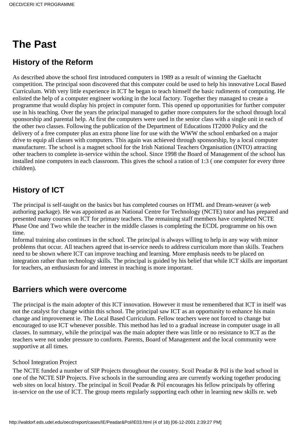## **The Past**

### **History of the Reform**

As described above the school first introduced computers in 1989 as a result of winning the Gaeltacht competition. The principal soon discovered that this computer could be used to help his innovative Local Based Curriculum. With very little experience in ICT he began to teach himself the basic rudiments of computing. He enlisted the help of a computer engineer working in the local factory. Together they managed to create a programme that would display his project in computer form. This opened up opportunities for further computer use in his teaching. Over the years the principal managed to gather more computers for the school through local sponsorship and parental help. At first the computers were used in the senior class with a single unit in each of the other two classes. Following the publication of the Department of Educations IT2000 Policy and the delivery of a free computer plus an extra phone line for use with the WWW the school embarked on a major drive to equip all classes with computers. This again was achieved through sponsorship, by a local computer manufacturer. The school is a magnet school for the Irish National Teachers Organisation (INTO) attracting other teachers to complete in-service within the school. Since 1998 the Board of Management of the school has installed nine computers in each classroom. This gives the school a ration of 1:3 ( one computer for every three children).

### **History of ICT**

The principal is self-taught on the basics but has completed courses on HTML and Dream-weaver (a web authoring package). He was appointed as an National Centre for Technology (NCTE) tutor and has prepared and presented many courses on ICT for primary teachers. The remaining staff members have completed NCTE Phase One and Two while the teacher in the middle classes is completing the ECDL programme on his own time.

Informal training also continues in the school. The principal is always willing to help in any way with minor problems that occur. All teachers agreed that in-service needs to address curriculum more than skills. Teachers need to be shown where ICT can improve teaching and learning. More emphasis needs to be placed on integration rather than technology skills. The principal is guided by his belief that while ICT skills are important for teachers, an enthusiasm for and interest in teaching is more important.

### **Barriers which were overcome**

The principal is the main adopter of this ICT innovation. However it must be remembered that ICT in itself was not the catalyst for change within this school. The principal saw ICT as an opportunity to enhance his main change and improvement ie. The Local Based Curriculum. Fellow teachers were not forced to change but encouraged to use ICT whenever possible. This method has led to a gradual increase in computer usage in all classes. In summary, while the principal was the main adopter there was little or no resistance to ICT as the teachers were not under pressure to conform. Parents, Board of Management and the local community were supportive at all times.

#### School Integration Project

The NCTE funded a number of SIP Projects throughout the country. Scoil Peadar & Pól is the lead school in one of the NCTE SIP Projects. Five schools in the surrounding area are currently working together producing web sites on local history. The principal in Scoil Peadar & Pól encourages his fellow principals by offering in-service on the use of ICT. The group meets regularly supporting each other in learning new skills re. web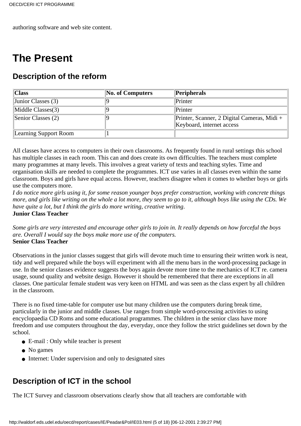authoring software and web site content.

## **The Present**

### **Description of the reform**

| Class                      | <b>No. of Computers</b> | $\ Peribherals\ $                           |
|----------------------------|-------------------------|---------------------------------------------|
| $\vert$ Junior Classes (3) |                         | Printer                                     |
| $\text{Middle Classes}(3)$ |                         | Printer                                     |
| Senior Classes $(2)$       |                         | Printer, Scanner, 2 Digital Cameras, Midi + |
|                            |                         | Keyboard, internet access                   |
| Learning Support Room      |                         |                                             |

All classes have access to computers in their own classrooms. As frequently found in rural settings this school has multiple classes in each room. This can and does create its own difficulties. The teachers must complete many programmes at many levels. This involves a great variety of texts and teaching styles. Time and organisation skills are needed to complete the programmes. ICT use varies in all classes even within the same classroom. Boys and girls have equal access. However, teachers disagree when it comes to whether boys or girls use the computers more.

*I do notice more girls using it, for some reason younger boys prefer construction, working with concrete things more, and girls like writing on the whole a lot more, they seem to go to it, although boys like using the CDs. We have quite a lot, but I think the girls do more writing, creative writing*. **Junior Class Teacher**

*Some girls are very interested and encourage other girls to join in. It really depends on how forceful the boys are. Overall I would say the boys make more use of the computers.* **Senior Class Teacher**

Observations in the junior classes suggest that girls will devote much time to ensuring their written work is neat, tidy and well prepared while the boys will experiment with all the menu bars in the word-processing package in use. In the senior classes evidence suggests the boys again devote more time to the mechanics of ICT re. camera usage, sound quality and website design. However it should be remembered that there are exceptions in all classes. One particular female student was very keen on HTML and was seen as the class expert by all children in the classroom.

There is no fixed time-table for computer use but many children use the computers during break time, particularly in the junior and middle classes. Use ranges from simple word-processing activities to using encyclopaedia CD Roms and some educational programmes. The children in the senior class have more freedom and use computers throughout the day, everyday, once they follow the strict guidelines set down by the school.

- E-mail : Only while teacher is present
- No games
- Internet: Under supervision and only to designated sites

### **Description of ICT in the school**

The ICT Survey and classroom observations clearly show that all teachers are comfortable with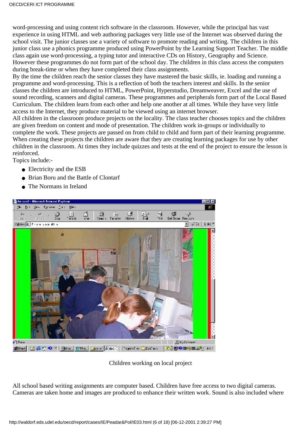word-processing and using content rich software in the classroom. However, while the principal has vast experience in using HTML and web authoring packages very little use of the Internet was observed during the school visit. The junior classes use a variety of software to promote reading and writing. The children in this junior class use a phonics programme produced using PowerPoint by the Learning Support Teacher. The middle class again use word-processing, a typing tutor and interactive CDs on History, Geography and Science. However these programmes do not form part of the school day. The children in this class access the computers during break-time or when they have completed their class assignments.

By the time the children reach the senior classes they have mastered the basic skills, ie. loading and running a programme and word-processing. This is a reflection of both the teachers interest and skills. In the senior classes the children are introduced to HTML, PowerPoint, Hyperstudio, Dreamweaver, Excel and the use of sound recording, scanners and digital cameras. These programmes and peripherals form part of the Local Based Curriculum. The children learn from each other and help one another at all times. While they have very little access to the Internet, they produce material to be viewed using an internet browser.

All children in the classroom produce projects on the locality. The class teacher chooses topics and the children are given freedom on content and mode of presentation. The children work in-groups or individually to complete the work. These projects are passed on from child to child and form part of their learning programme. When creating these projects the children are aware that they are creating learning packages for use by other children in the classroom. At times they include quizzes and tests at the end of the project to ensure the lesson is reinforced.

Topics include:-

- Electricity and the ESB
- Brian Boru and the Battle of Clontarf
- The Normans in Ireland



Children working on local project

All school based writing assignments are computer based. Children have free access to two digital cameras. Cameras are taken home and images are produced to enhance their written work. Sound is also included where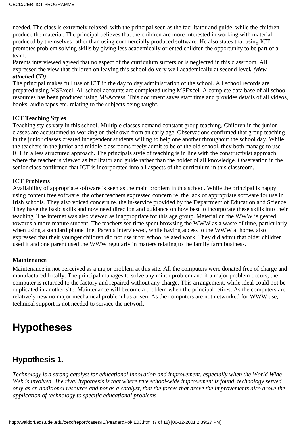needed. The class is extremely relaxed, with the principal seen as the facilitator and guide, while the children produce the material. The principal believes that the children are more interested in working with material produced by themselves rather than using commercially produced software. He also states that using ICT promotes problem solving skills by giving less academically oriented children the opportunity to be part of a team.

Parents interviewed agreed that no aspect of the curriculum suffers or is neglected in this classroom. All expressed the view that children on leaving this school do very well academically at second level*. (view attached CD)*

The principal makes full use of ICT in the day to day administration of the school. All school records are prepared using MSExcel. All school accounts are completed using MSExcel. A complete data base of all school resources has been produced using MSAccess. This document saves staff time and provides details of all videos, books, audio tapes etc. relating to the subjects being taught.

#### **ICT Teaching Styles**

Teaching styles vary in this school. Multiple classes demand constant group teaching. Children in the junior classes are accustomed to working on their own from an early age. Observations confirmed that group teaching in the junior classes created independent students willing to help one another throughout the school day. While the teachers in the junior and middle classrooms freely admit to be of the old school, they both manage to use ICT in a less structured approach. The principal s style of teaching is in line with the constructivist approach where the teacher is viewed as facilitator and guide rather than the holder of all knowledge. Observation in the senior class confirmed that ICT is incorporated into all aspects of the curriculum in this classroom.

#### **ICT Problems**

Availability of appropriate software is seen as the main problem in this school. While the principal is happy using content free software, the other teachers expressed concern re. the lack of appropriate software for use in Irish schools. They also voiced concern re. the in-service provided by the Department of Education and Science. They have the basic skills and now need direction and guidance on how best to incorporate these skills into their teaching. The internet was also viewed as inappropriate for this age group. Material on the WWW is geared towards a more mature student. The teachers see time spent browsing the WWW as a waste of time, particularly when using a standard phone line. Parents interviewed, while having access to the WWW at home, also expressed that their younger children did not use it for school related work. They did admit that older children used it and one parent used the WWW regularly in matters relating to the family farm business.

#### **Maintenance**

Maintenance in not perceived as a major problem at this site. All the computers were donated free of charge and manufactured locally. The principal manages to solve any minor problem and if a major problem occurs, the computer is returned to the factory and repaired without any charge. This arrangement, while ideal could not be duplicated in another site. Maintenance will become a problem when the principal retires. As the computers are relatively new no major mechanical problem has arisen. As the computers are not networked for WWW use, technical support is not needed to service the network.

## **Hypotheses**

### **Hypothesis 1.**

*Technology is a strong catalyst for educational innovation and improvement, especially when the World Wide Web is involved. The rival hypothesis is that where true school-wide improvement is found, technology served only as an additional resource and not as a catalyst, that the forces that drove the improvements also drove the application of technology to specific educational problems.*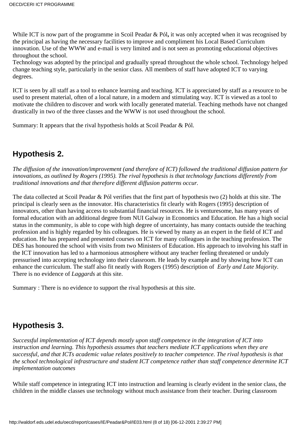While ICT is now part of the programme in Scoil Peadar & Pól**,** it was only accepted when it was recognised by the principal as having the necessary facilities to improve and compliment his Local Based Curriculum innovation. Use of the WWW and e-mail is very limited and is not seen as promoting educational objectives throughout the school.

Technology was adopted by the principal and gradually spread throughout the whole school. Technology helped change teaching style, particularly in the senior class. All members of staff have adopted ICT to varying degrees.

ICT is seen by all staff as a tool to enhance learning and teaching. ICT is appreciated by staff as a resource to be used to present material, often of a local nature, in a modern and stimulating way. ICT is viewed as a tool to motivate the children to discover and work with locally generated material. Teaching methods have not changed drastically in two of the three classes and the WWW is not used throughout the school.

Summary: It appears that the rival hypothesis holds at Scoil Peadar & Pól.

### **Hypothesis 2.**

*The diffusion of the innovation/improvement (and therefore of ICT) followed the traditional diffusion pattern for innovations, as outlined by Rogers (1995). The rival hypothesis is that technology functions differently from traditional innovations and that therefore different diffusion patterns occur.*

The data collected at Scoil Peadar & Pól verifies that the first part of hypothesis two (2) holds at this site. The principal is clearly seen as the innovator. His characteristics fit clearly with Rogers (1995) description of innovators, other than having access to substantial financial resources. He is venturesome, has many years of formal education with an additional degree from NUI Galway in Economics and Education. He has a high social status in the community, is able to cope with high degree of uncertainty, has many contacts outside the teaching profession and is highly regarded by his colleagues. He is viewed by many as an expert in the field of ICT and education. He has prepared and presented courses on ICT for many colleagues in the teaching profession. The DES has honoured the school with visits from two Ministers of Education. His approach to involving his staff in the ICT innovation has led to a harmonious atmosphere without any teacher feeling threatened or unduly pressurised into accepting technology into their classroom. He leads by example and by showing how ICT can enhance the curriculum. The staff also fit neatly with Rogers (1995) description of *Early and Late Majority*. There is no evidence of *Laggards* at this site.

Summary : There is no evidence to support the rival hypothesis at this site.

### **Hypothesis 3.**

*Successful implementation of ICT depends mostly upon staff competence in the integration of ICT into instruction and learning. This hypothesis assumes that teachers mediate ICT applications when they are successful, and that ICT s academic value relates positively to teacher competence. The rival hypothesis is that the school technological infrastructure and student ICT competence rather than staff competence determine ICT implementation outcomes*

While staff competence in integrating ICT into instruction and learning is clearly evident in the senior class, the children in the middle classes use technology without much assistance from their teacher. During classroom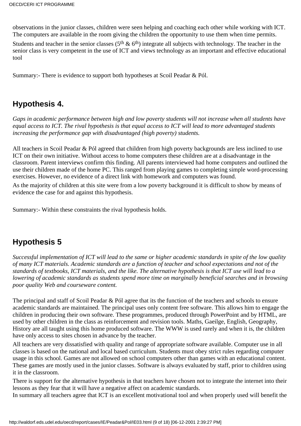observations in the junior classes, children were seen helping and coaching each other while working with ICT. The computers are available in the room giving the children the opportunity to use them when time permits.

Students and teacher in the senior classes ( $5<sup>th</sup>$  &  $6<sup>th</sup>$ ) integrate all subjects with technology. The teacher in the senior class is very competent in the use of ICT and views technology as an important and effective educational tool

Summary:- There is evidence to support both hypotheses at Scoil Peadar & Pól.

### **Hypothesis 4.**

*Gaps in academic performance between high and low poverty students will not increase when all students have equal access to ICT. The rival hypothesis is that equal access to ICT will lead to more advantaged students increasing the performance gap with disadvantaged (high poverty) students.*

All teachers in Scoil Peadar & Pól agreed that children from high poverty backgrounds are less inclined to use ICT on their own initiative. Without access to home computers these children are at a disadvantage in the classroom. Parent interviews confirm this finding. All parents interviewed had home computers and outlined the use their children made of the home PC. This ranged from playing games to completing simple word-processing exercises. However, no evidence of a direct link with homework and computers was found.

As the majority of children at this site were from a low poverty background it is difficult to show by means of evidence the case for and against this hypothesis.

Summary:- Within these constraints the rival hypothesis holds.

### **Hypothesis 5**

*Successful implementation of ICT will lead to the same or higher academic standards in spite of the low quality of many ICT materials. Academic standards are a function of teacher and school expectations and not of the standards of textbooks, ICT materials, and the like. The alternative hypothesis is that ICT use will lead to a lowering of academic standards as students spend more time on marginally beneficial searches and in browsing poor quality Web and courseware content.*

The principal and staff of Scoil Peadar & Pól agree that it s the function of the teachers and schools to ensure academic standards are maintained. The principal uses only content free software. This allows him to engage the children in producing their own software. These programmes, produced through PowerPoint and by HTML, are used by other children in the class as reinforcement and revision tools. Maths, Gaeilge, English, Geography, History are all taught using this home produced software. The WWW is used rarely and when it is, the children have only access to sites chosen in advance by the teacher.

All teachers are very dissatisfied with quality and range of appropriate software available. Computer use in all classes is based on the national and local based curriculum. Students must obey strict rules regarding computer usage in this school. Games are not allowed on school computers other than games with an educational content. These games are mostly used in the junior classes. Software is always evaluated by staff, prior to children using it in the classroom.

There is support for the alternative hypothesis in that teachers have chosen not to integrate the internet into their lessons as they fear that it will have a negative affect on academic standards.

In summary all teachers agree that ICT is an excellent motivational tool and when properly used will benefit the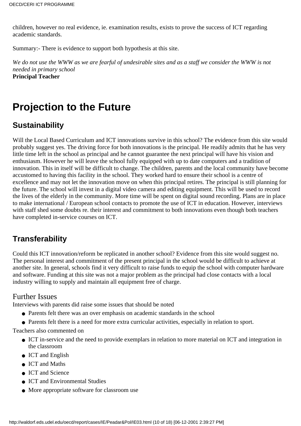children, however no real evidence, ie. examination results, exists to prove the success of ICT regarding academic standards.

Summary:- There is evidence to support both hypothesis at this site.

*We do not use the WWW as we are fearful of undesirable sites and as a staff we consider the WWW is not needed in primary school* **Principal Teacher**

## **Projection to the Future**

### **Sustainability**

Will the Local Based Curriculum and ICT innovations survive in this school? The evidence from this site would probably suggest yes. The driving force for both innovations is the principal. He readily admits that he has very little time left in the school as principal and he cannot guarantee the next principal will have his vision and enthusiasm. However he will leave the school fully equipped with up to date computers and a tradition of innovation. This in itself will be difficult to change. The children, parents and the local community have become accustomed to having this facility in the school. They worked hard to ensure their school is a centre of excellence and may not let the innovation move on when this principal retires. The principal is still planning for the future. The school will invest in a digital video camera and editing equipment. This will be used to record the lives of the elderly in the community. More time will be spent on digital sound recording. Plans are in place to make international / European school contacts to promote the use of ICT in education. However, interviews with staff shed some doubts re. their interest and commitment to both innovations even though both teachers have completed in-service courses on ICT.

## **Transferability**

Could this ICT innovation/reform be replicated in another school? Evidence from this site would suggest no. The personal interest and commitment of the present principal in the school would be difficult to achieve at another site. In general, schools find it very difficult to raise funds to equip the school with computer hardware and software. Funding at this site was not a major problem as the principal had close contacts with a local industry willing to supply and maintain all equipment free of charge.

### Further Issues

Interviews with parents did raise some issues that should be noted

- Parents felt there was an over emphasis on academic standards in the school
- Parents felt there is a need for more extra curricular activities, especially in relation to sport.

Teachers also commented on

- ICT in-service and the need to provide exemplars in relation to more material on ICT and integration in the classroom
- ICT and English
- ICT and Maths
- ICT and Science
- ICT and Environmental Studies
- More appropriate software for classroom use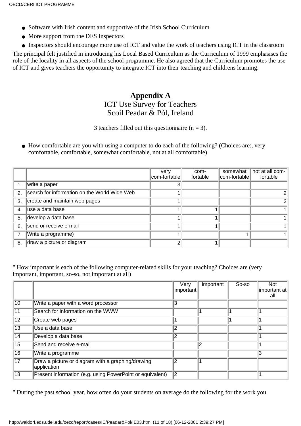- Software with Irish content and supportive of the Irish School Curriculum
- More support from the DES Inspectors
- Inspectors should encourage more use of ICT and value the work of teachers using ICT in the classroom

The principal felt justified in introducing his Local Based Curriculum as the Curriculum of 1999 emphasises the role of the locality in all aspects of the school programme. He also agreed that the Curriculum promotes the use of ICT and gives teachers the opportunity to integrate ICT into their teaching and childrens learning.

### **Appendix A**

### ICT Use Survey for Teachers Scoil Peadar & Pól, Ireland

3 teachers filled out this questionnaire  $(n = 3)$ .

• How comfortable are you with using a computer to do each of the following? (Choices are:, very comfortable, comfortable, somewhat comfortable, not at all comfortable)

|                |                                              | very<br>com-fortable | com-<br>fortable | somewhat<br>com-fortable | not at all com-<br>fortable |
|----------------|----------------------------------------------|----------------------|------------------|--------------------------|-----------------------------|
|                | write a paper                                |                      |                  |                          |                             |
| 2 <sub>1</sub> | search for information on the World Wide Web |                      |                  |                          |                             |
| 3.             | create and maintain web pages                |                      |                  |                          | $\overline{2}$              |
| 4.             | luse a data base                             |                      |                  |                          |                             |
| 5.             | develop a data base                          |                      |                  |                          |                             |
| 6.             | send or receive e-mail                       |                      |                  |                          |                             |
| 7 <sub>1</sub> | Write a programme)                           |                      |                  |                          |                             |
| 8.             | draw a picture or diagram                    |                      |                  |                          |                             |

" How important is each of the following computer-related skills for your teaching? Choices are (very important, important, so-so, not important at all)

|                 |                                                                  | Very<br>important | important | So-so | <b>Not</b><br>∣important at∥<br>all |
|-----------------|------------------------------------------------------------------|-------------------|-----------|-------|-------------------------------------|
| $\overline{10}$ | Write a paper with a word processor                              | 3                 |           |       |                                     |
| $\sqrt{11}$     | Search for information on the WWW                                |                   |           |       |                                     |
| $\overline{12}$ | Create web pages                                                 |                   |           |       |                                     |
| $\overline{13}$ | Use a data base                                                  | 2                 |           |       |                                     |
| 14              | Develop a data base                                              | っ                 |           |       |                                     |
| $\overline{15}$ | Send and receive e-mail                                          |                   | 12        |       |                                     |
| $\overline{16}$ | Write a programme                                                |                   |           |       | 3                                   |
| $\overline{17}$ | Draw a picture or diagram with a graphing/drawing<br>application | っ                 |           |       |                                     |
| $\overline{18}$ | Present information (e.g. using PowerPoint or equivalent)        | 2                 |           |       |                                     |

" During the past school year, how often do your students on average do the following for the work you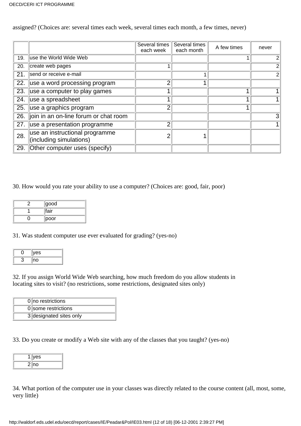assigned? (Choices are: several times each week, several times each month, a few times, never)

|     |                                                           | Several times<br>each week | Several times<br>each month | A few times | never          |
|-----|-----------------------------------------------------------|----------------------------|-----------------------------|-------------|----------------|
| 19. | use the World Wide Web                                    |                            |                             |             |                |
| 20. | create web pages                                          |                            |                             |             |                |
| 21. | send or receive e-mail                                    |                            |                             |             | $\overline{2}$ |
| 22. | use a word processing program                             | 2                          |                             |             |                |
| 23. | use a computer to play games                              |                            |                             |             |                |
| 24. | use a spreadsheet                                         |                            |                             |             |                |
| 25. | use a graphics program                                    | 2                          |                             |             |                |
| 26. | join in an on-line forum or chat room                     |                            |                             |             | 3              |
| 27. | use a presentation programme                              | 2                          |                             |             |                |
| 28. | use an instructional programme<br>(including simulations) |                            |                             |             |                |
| 29. | Other computer uses (specify)                             |                            |                             |             |                |

30. How would you rate your ability to use a computer? (Choices are: good, fair, poor)

| good |
|------|
| fair |
| poor |

31. Was student computer use ever evaluated for grading? (yes-no)

| es |
|----|
| 10 |

32. If you assign World Wide Web searching, how much freedom do you allow students in locating sites to visit? (no restrictions, some restrictions, designated sites only)

| $0$  no restrictions    |
|-------------------------|
| 0 some restrictions     |
| 3 designated sites only |

33. Do you create or modify a Web site with any of the classes that you taught? (yes-no)

| es |
|----|
| ıО |

34. What portion of the computer use in your classes was directly related to the course content (all, most, some, very little)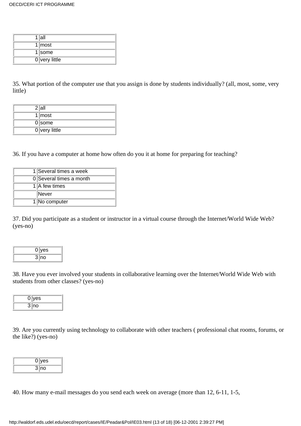| $1$  all        |
|-----------------|
| $1$ most        |
| $1$ some        |
| $0$ very little |

35. What portion of the computer use that you assign is done by students individually? (all, most, some, very little)

| $2$ all         |
|-----------------|
| $1$ most        |
| $0$ some        |
| $0$ very little |

36. If you have a computer at home how often do you it at home for preparing for teaching?

| 1 Several times a week  |
|-------------------------|
| 0 Several times a month |
| 1 A few times           |
| Never                   |
| 1 No computer           |

37. Did you participate as a student or instructor in a virtual course through the Internet/World Wide Web? (yes-no)

| <b>yes</b> |
|------------|
| 3 no       |

38. Have you ever involved your students in collaborative learning over the Internet/World Wide Web with students from other classes? (yes-no)

| /es       |  |
|-----------|--|
| 3.<br>ျဂ၀ |  |

39. Are you currently using technology to collaborate with other teachers ( professional chat rooms, forums, or the like?) (yes-no)

| es      |  |
|---------|--|
| з<br>no |  |

40. How many e-mail messages do you send each week on average (more than 12, 6-11, 1-5,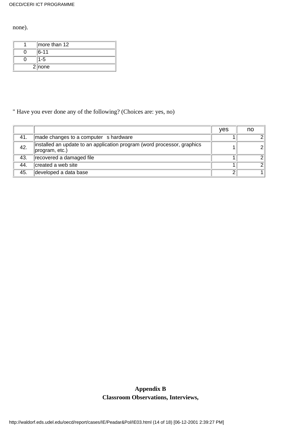none).

| more than 12 |
|--------------|
| $ 6 - 11$    |
| -5           |
| 2 none       |

### " Have you ever done any of the following? (Choices are: yes, no)

|     |                                                                                           | ves | no |
|-----|-------------------------------------------------------------------------------------------|-----|----|
| 41. | made changes to a computer s hardware                                                     |     |    |
| 42. | installed an update to an application program (word processor, graphics<br>program, etc.) |     |    |
| 43. | recovered a damaged file                                                                  |     |    |
| 44. | created a web site                                                                        |     |    |
| 45. | developed a data base                                                                     | ົ   |    |

### **Appendix B Classroom Observations, Interviews,**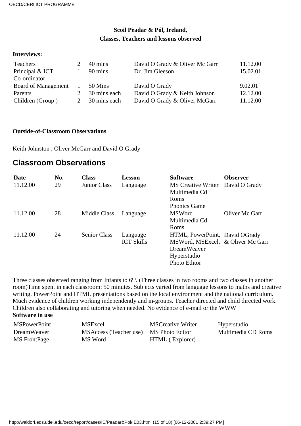#### **Scoil Peadar & Pól, Ireland, Classes, Teachers and lessons observed**

#### **Interviews:**

| Teachers<br>Principal & ICT | 40 mins<br>90 mins | David O Grady & Oliver Mc Garr<br>Dr. Jim Gleeson | 11.12.00<br>15.02.01 |
|-----------------------------|--------------------|---------------------------------------------------|----------------------|
| Co-ordinator                |                    |                                                   |                      |
| Board of Management         | 50 Mins            | David O Grady                                     | 9.02.01              |
| Parents                     | 30 mins each       | David O Grady & Keith Johnson                     | 12.12.00             |
| Children (Group)            | 30 mins each       | David O Grady & Oliver McGarr                     | 11.12.00             |

#### **Outside-of-Classroom Observations**

Keith Johnston , Oliver McGarr and David O Grady

### **Classroom Observations**

| Date     | No. | <b>Class</b>        | <b>Lesson</b>     | <b>Software</b>                   | <b>Observer</b> |
|----------|-----|---------------------|-------------------|-----------------------------------|-----------------|
| 11.12.00 | 29  | Junior Class        | Language          | <b>MS</b> Creative Writer         | David O Grady   |
|          |     |                     |                   | Multimedia Cd                     |                 |
|          |     |                     |                   | Roms                              |                 |
|          |     |                     |                   | <b>Phonics Game</b>               |                 |
| 11.12.00 | 28  | Middle Class        | Language          | <b>MSWord</b>                     | Oliver Mc Garr  |
|          |     |                     |                   | Multimedia Cd                     |                 |
|          |     |                     |                   | Roms                              |                 |
| 11.12.00 | 24  | <b>Senior Class</b> | Language          | HTML, PowerPoint, David O Grady   |                 |
|          |     |                     | <b>ICT Skills</b> | MSWord, MSExcel, & Oliver Mc Garr |                 |
|          |     |                     |                   | <b>DreamWeaver</b>                |                 |
|          |     |                     |                   | Hyperstudio                       |                 |
|          |     |                     |                   | <b>Photo Editor</b>               |                 |

Three classes observed ranging from Infants to 6<sup>th</sup>. (Three classes in two rooms and two classes in another room)Time spent in each classroom: 50 minutes. Subjects varied from language lessons to maths and creative writing. PowerPoint and HTML presentations based on the local environment and the national curriculum. Much evidence of children working independently and in-groups. Teacher directed and child directed work. Children also collaborating and tutoring when needed. No evidence of e-mail or the WWW

#### **Software in use**

| <b>MSPowerPoint</b> | <b>MSExcel</b>                         | <b>MSCreative Writer</b> | Hyperstudio        |
|---------------------|----------------------------------------|--------------------------|--------------------|
| DreamWeaver         | MSAccess (Teacher use) MS Photo Editor |                          | Multimedia CD Roms |
| MS FrontPage        | MS Word                                | HTML (Explorer)          |                    |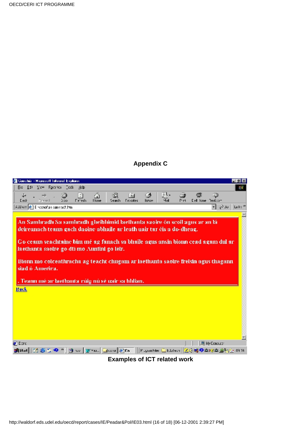### **Appendix C**

| 叠 Conchèr - Microsoft Internet Explorer<br>TE X                                                                                                                                                                                                                                                                                                                                                        |
|--------------------------------------------------------------------------------------------------------------------------------------------------------------------------------------------------------------------------------------------------------------------------------------------------------------------------------------------------------------------------------------------------------|
| Fig. Edit View Favories Ceeb Help<br>制度                                                                                                                                                                                                                                                                                                                                                                |
| 家.<br>ă<br>G.<br>63<br>$ \div $<br>∻<br>$\overline{3}$<br><b>Home</b><br>Del lome Realcom<br>Dack<br><b>Feiresh</b><br>Favorites<br>listem<br>Pint<br>Forward<br>Search<br>5:55<br>AJJ ew (C) Eisecnonan cammach.html<br>Licky <sup>39</sup><br>미 순교                                                                                                                                                   |
|                                                                                                                                                                                                                                                                                                                                                                                                        |
| An Samhradh Sa samhradh gheibhimid laethanta saoire ón scoil agus ar an lá<br>deireanach teann gach daoine abhaile ar leath uair tar éis a do-dheag.<br>Go ceann seachtaine bim mé ag fanach sa bhaile agus ansin bionn cead agam dul ar<br>la ethanta saoire go dtí mo Auntini go léir.<br>Bionn mo colceathracha ag teacht chugam ar laethanta saoire freisin agus thagann<br>siad <i>i</i> America. |
| . Teann mé ar laethanta rúig nú sé uair sa hIdian.<br><b>Back</b>                                                                                                                                                                                                                                                                                                                                      |
|                                                                                                                                                                                                                                                                                                                                                                                                        |
| <b>O</b> Darc<br>图 My Computer                                                                                                                                                                                                                                                                                                                                                                         |
| 1885Hill G 感 th © ™   @ w   W *a   Guad   @ 668     Pagenthis   Catalon   G (40) © 02/2   @ 642   A 14                                                                                                                                                                                                                                                                                                 |
| <b>Examples of ICT related work</b>                                                                                                                                                                                                                                                                                                                                                                    |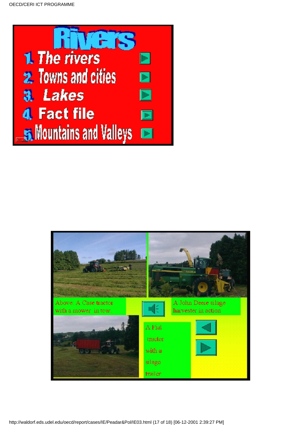



http://waldorf.eds.udel.edu/oecd/report/cases/IE/Peadar&Pol/IE03.html (17 of 18) [06-12-2001 2:39:27 PM]